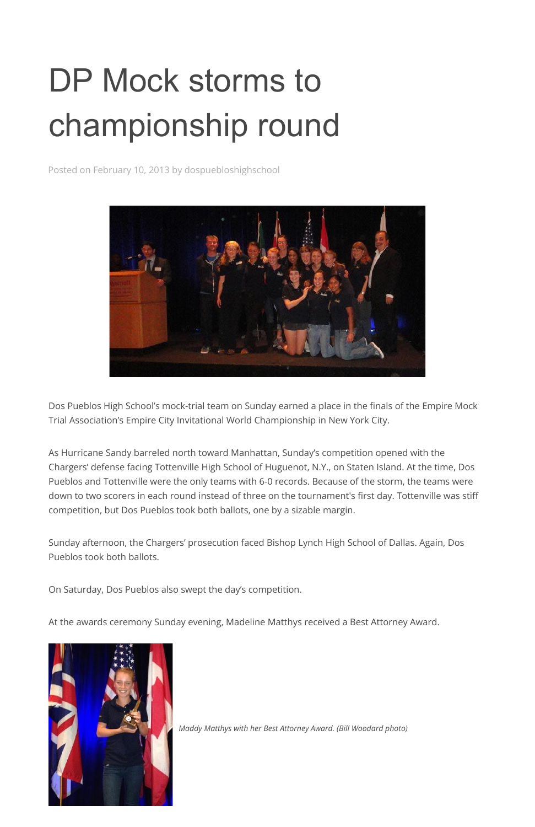## DP Mock storms to championship round

Posted on February 10, 2013 by dospuebloshighschool



Dos Pueblos High School's mock-trial team on Sunday earned a place in the finals of the Empire Mock Trial Association's Empire City Invitational World Championship in New York City.

As Hurricane Sandy barreled north toward Manhattan, Sunday's competition opened with the Chargers' defense facing Tottenville High School of Huguenot, N.Y., on Staten Island. At the time, Dos Pueblos and Tottenville were the only teams with 6-0 records. Because of the storm, the teams were down to two scorers in each round instead of three on the tournament's first day. Tottenville was stiff competition, but Dos Pueblos took both ballots, one by a sizable margin.

Sunday afternoon, the Chargers' prosecution faced Bishop Lynch High School of Dallas. Again, Dos Pueblos took both ballots.

On Saturday, Dos Pueblos also swept the day's competition.

At the awards ceremony Sunday evening, Madeline Matthys received a Best Attorney Award.



*Maddy Matthys with her Best Attorney Award. (Bill Woodard photo)*